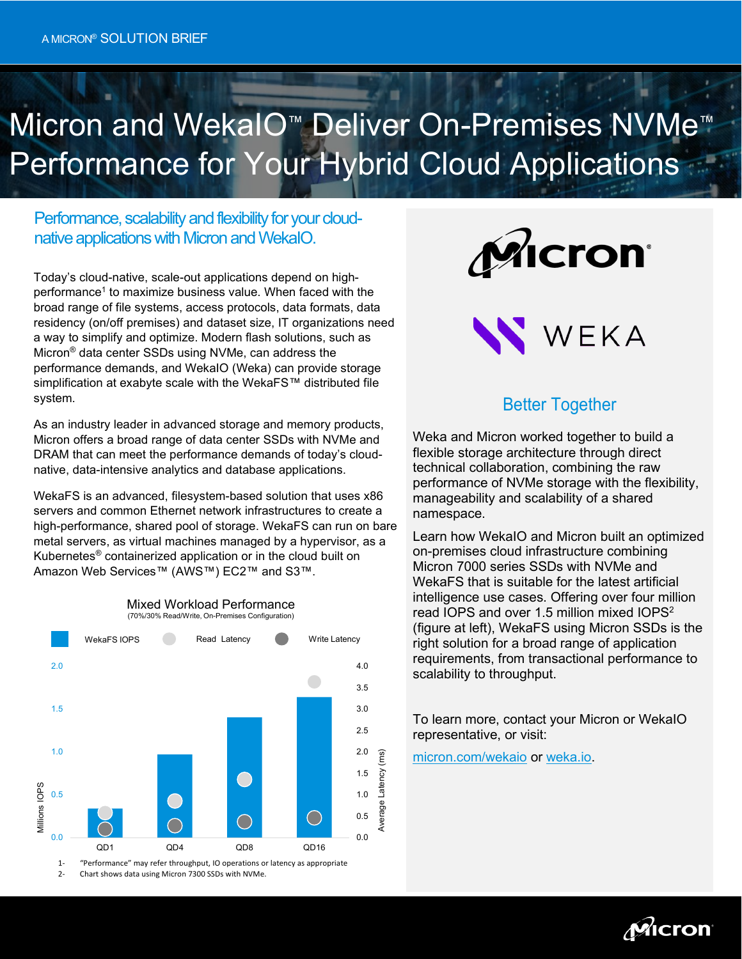# Micron and WekaIO™ Deliver On-Premises NVMe<sup>™</sup> Performance for Your Hybrid Cloud Applications

Performance, scalability and flexibility for your cloudnative applications with Micron and WekaIO.

Today's cloud-native, scale-out applications depend on highperformance<sup>1</sup> to maximize business value. When faced with the broad range of file systems, access protocols, data formats, data residency (on/off premises) and dataset size, IT organizations need a way to simplify and optimize. Modern flash solutions, such as Micron® data center SSDs using NVMe, can address the performance demands, and WekaIO (Weka) can provide storage simplification at exabyte scale with the WekaFS™ distributed file system.

As an industry leader in advanced storage and memory products, Micron offers a broad range of data center SSDs with NVMe and DRAM that can meet the performance demands of today's cloudnative, data-intensive analytics and database applications.

WekaFS is an advanced, filesystem-based solution that uses x86 servers and common Ethernet network infrastructures to create a high-performance, shared pool of storage. WekaFS can run on bare metal servers, as virtual machines managed by a hypervisor, as a Kubernetes® containerized application or in the cloud built on Amazon Web Services™ (AWS™) EC2™ and S3™.

Mixed Workload Performance (70%/30% Read/Write, On-Premises Configuration)



2- Chart shows data using Micron 7300 SSDs with NVMe.





## Better Together

Weka and Micron worked together to build a flexible storage architecture through direct technical collaboration, combining the raw performance of NVMe storage with the flexibility, manageability and scalability of a shared namespace.

Learn how WekaIO and Micron built an optimized on-premises cloud infrastructure combining Micron 7000 series SSDs with NVMe and WekaFS that is suitable for the latest artificial intelligence use cases. Offering over four million read IOPS and over 1.5 million mixed IOPS<sup>2</sup> (figure at left), WekaFS using Micron SSDs is the right solution for a broad range of application requirements, from transactional performance to scalability to throughput.

To learn more, contact your Micron or WekaIO representative, or visit:

[micron.com/wekaio](http://www.micron.com/wekaio) or [weka.io.](http://www.weka.io/)